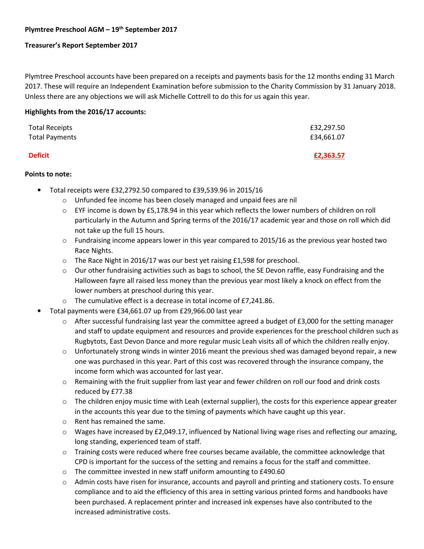# **Plymtree Preschool AGM – 19th September 2017**

# **Treasurer's Report September 2017**

Plymtree Preschool accounts have been prepared on a receipts and payments basis for the 12 months ending 31 March 2017. These will require an Independent Examination before submission to the Charity Commission by 31 January 2018. Unless there are any objections we will ask Michelle Cottrell to do this for us again this year.

## **Highlights from the 2016/17 accounts:**

| <b>Total Receipts</b> | £32,297.50 |
|-----------------------|------------|
| <b>Total Payments</b> | £34,661.07 |
| <b>Deficit</b>        | £2,363.57  |

#### **Points to note:**

- Total receipts were £32,2792.50 compared to £39,539.96 in 2015/16
	- o Unfunded fee income has been closely managed and unpaid fees are nil
	- $\circ$  EYF income is down by £5,178.94 in this year which reflects the lower numbers of children on roll particularly in the Autumn and Spring terms of the 2016/17 academic year and those on roll which did not take up the full 15 hours.
	- $\circ$  Fundraising income appears lower in this year compared to 2015/16 as the previous year hosted two Race Nights.
	- o The Race Night in 2016/17 was our best yet raising £1,598 for preschool.
	- $\circ$  Our other fundraising activities such as bags to school, the SE Devon raffle, easy Fundraising and the Halloween fayre all raised less money than the previous year most likely a knock on effect from the lower numbers at preschool during this year.
	- o The cumulative effect is a decrease in total income of £7,241.86.
- Total payments were £34,661.07 up from £29,966.00 last year
	- $\circ$  After successful fundraising last year the committee agreed a budget of £3,000 for the setting manager and staff to update equipment and resources and provide experiences for the preschool children such as Rugbytots, East Devon Dance and more regular music Leah visits all of which the children really enjoy.
	- $\circ$  Unfortunately strong winds in winter 2016 meant the previous shed was damaged beyond repair, a new one was purchased in this year. Part of this cost was recovered through the insurance company, the income form which was accounted for last year.
	- $\circ$  Remaining with the fruit supplier from last year and fewer children on roll our food and drink costs reduced by £77.38
	- $\circ$  The children enjoy music time with Leah (external supplier), the costs for this experience appear greater in the accounts this year due to the timing of payments which have caught up this year.
	- o Rent has remained the same.
	- $\circ$  Wages have increased by £2,049.17, influenced by National living wage rises and reflecting our amazing, long standing, experienced team of staff.
	- $\circ$  Training costs were reduced where free courses became available, the committee acknowledge that CPD is important for the success of the setting and remains a focus for the staff and committee.
	- o The committee invested in new staff uniform amounting to £490.60
	- $\circ$  Admin costs have risen for insurance, accounts and payroll and printing and stationery costs. To ensure compliance and to aid the efficiency of this area in setting various printed forms and handbooks have been purchased. A replacement printer and increased ink expenses have also contributed to the increased administrative costs.